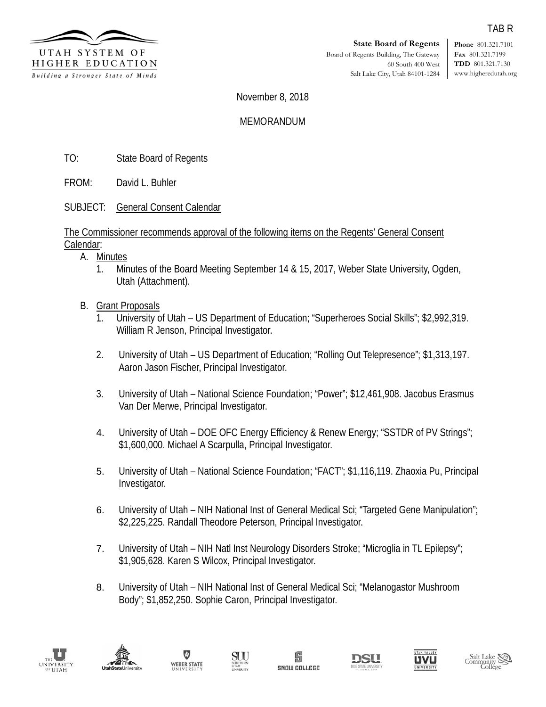

**Phone** 801.321.7101 **Fax** 801.321.7199 **TDD** 801.321.7130 www.higheredutah.org

November 8, 2018

## MEMORANDUM

TO: State Board of Regents

FROM: David L. Buhler

SUBJECT: General Consent Calendar

The Commissioner recommends approval of the following items on the Regents' General Consent Calendar:

- A. Minutes
	- 1. Minutes of the Board Meeting September 14 & 15, 2017, Weber State University, Ogden, Utah (Attachment).
- B. Grant Proposals
	- 1. University of Utah US Department of Education; "Superheroes Social Skills"; \$2,992,319. William R Jenson, Principal Investigator.
	- 2. University of Utah US Department of Education; "Rolling Out Telepresence"; \$1,313,197. Aaron Jason Fischer, Principal Investigator.
	- 3. University of Utah National Science Foundation; "Power"; \$12,461,908. Jacobus Erasmus Van Der Merwe, Principal Investigator.
	- 4. University of Utah DOE OFC Energy Efficiency & Renew Energy; "SSTDR of PV Strings"; \$1,600,000. Michael A Scarpulla, Principal Investigator.
	- 5. University of Utah National Science Foundation; "FACT"; \$1,116,119. Zhaoxia Pu, Principal Investigator.
	- 6. University of Utah NIH National Inst of General Medical Sci; "Targeted Gene Manipulation"; \$2,225,225. Randall Theodore Peterson, Principal Investigator.
	- 7. University of Utah NIH Natl Inst Neurology Disorders Stroke; "Microglia in TL Epilepsy"; \$1,905,628. Karen S Wilcox, Principal Investigator.
	- 8. University of Utah NIH National Inst of General Medical Sci; "Melanogastor Mushroom Body"; \$1,852,250. Sophie Caron, Principal Investigator.















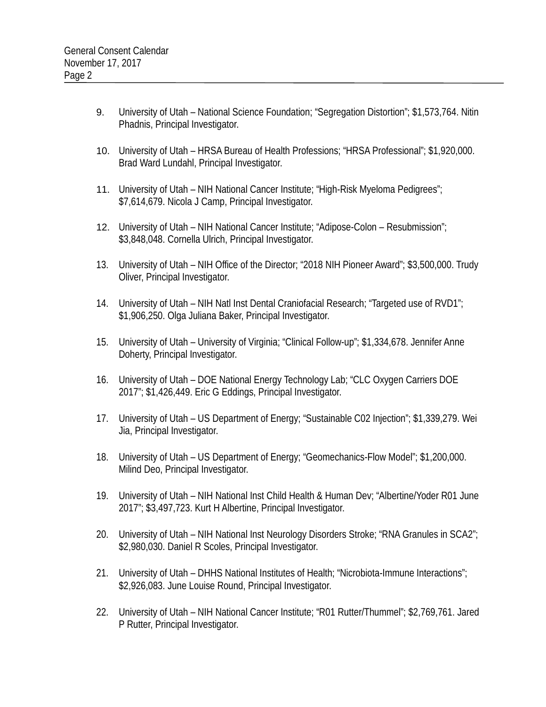- 9. University of Utah National Science Foundation; "Segregation Distortion"; \$1,573,764. Nitin Phadnis, Principal Investigator.
- 10. University of Utah HRSA Bureau of Health Professions; "HRSA Professional"; \$1,920,000. Brad Ward Lundahl, Principal Investigator.
- 11. University of Utah NIH National Cancer Institute; "High-Risk Myeloma Pedigrees"; \$7,614,679. Nicola J Camp, Principal Investigator.
- 12. University of Utah NIH National Cancer Institute; "Adipose-Colon Resubmission"; \$3,848,048. Cornella Ulrich, Principal Investigator.
- 13. University of Utah NIH Office of the Director; "2018 NIH Pioneer Award"; \$3,500,000. Trudy Oliver, Principal Investigator.
- 14. University of Utah NIH Natl Inst Dental Craniofacial Research; "Targeted use of RVD1"; \$1,906,250. Olga Juliana Baker, Principal Investigator.
- 15. University of Utah University of Virginia; "Clinical Follow-up"; \$1,334,678. Jennifer Anne Doherty, Principal Investigator.
- 16. University of Utah DOE National Energy Technology Lab; "CLC Oxygen Carriers DOE 2017"; \$1,426,449. Eric G Eddings, Principal Investigator.
- 17. University of Utah US Department of Energy; "Sustainable C02 Injection"; \$1,339,279. Wei Jia, Principal Investigator.
- 18. University of Utah US Department of Energy; "Geomechanics-Flow Model"; \$1,200,000. Milind Deo, Principal Investigator.
- 19. University of Utah NIH National Inst Child Health & Human Dev; "Albertine/Yoder R01 June 2017"; \$3,497,723. Kurt H Albertine, Principal Investigator.
- 20. University of Utah NIH National Inst Neurology Disorders Stroke; "RNA Granules in SCA2"; \$2,980,030. Daniel R Scoles, Principal Investigator.
- 21. University of Utah DHHS National Institutes of Health; "Nicrobiota-Immune Interactions"; \$2,926,083. June Louise Round, Principal Investigator.
- 22. University of Utah NIH National Cancer Institute; "R01 Rutter/Thummel"; \$2,769,761. Jared P Rutter, Principal Investigator.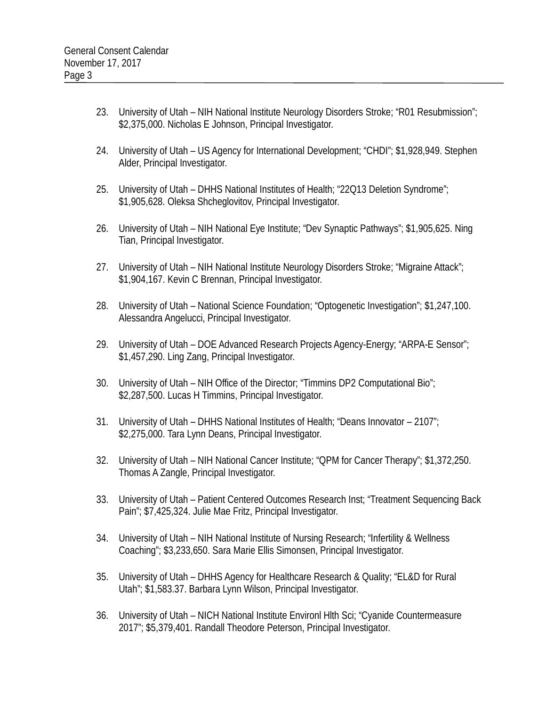- 23. University of Utah NIH National Institute Neurology Disorders Stroke; "R01 Resubmission"; \$2,375,000. Nicholas E Johnson, Principal Investigator.
- 24. University of Utah US Agency for International Development; "CHDI"; \$1,928,949. Stephen Alder, Principal Investigator.
- 25. University of Utah DHHS National Institutes of Health; "22Q13 Deletion Syndrome"; \$1,905,628. Oleksa Shcheglovitov, Principal Investigator.
- 26. University of Utah NIH National Eye Institute; "Dev Synaptic Pathways"; \$1,905,625. Ning Tian, Principal Investigator.
- 27. University of Utah NIH National Institute Neurology Disorders Stroke; "Migraine Attack"; \$1,904,167. Kevin C Brennan, Principal Investigator.
- 28. University of Utah National Science Foundation; "Optogenetic Investigation"; \$1,247,100. Alessandra Angelucci, Principal Investigator.
- 29. University of Utah DOE Advanced Research Projects Agency-Energy; "ARPA-E Sensor"; \$1,457,290. Ling Zang, Principal Investigator.
- 30. University of Utah NIH Office of the Director; "Timmins DP2 Computational Bio"; \$2,287,500. Lucas H Timmins, Principal Investigator.
- 31. University of Utah DHHS National Institutes of Health; "Deans Innovator 2107"; \$2,275,000. Tara Lynn Deans, Principal Investigator.
- 32. University of Utah NIH National Cancer Institute; "QPM for Cancer Therapy"; \$1,372,250. Thomas A Zangle, Principal Investigator.
- 33. University of Utah Patient Centered Outcomes Research Inst; "Treatment Sequencing Back Pain"; \$7,425,324. Julie Mae Fritz, Principal Investigator.
- 34. University of Utah NIH National Institute of Nursing Research; "Infertility & Wellness Coaching"; \$3,233,650. Sara Marie Ellis Simonsen, Principal Investigator.
- 35. University of Utah DHHS Agency for Healthcare Research & Quality; "EL&D for Rural Utah"; \$1,583.37. Barbara Lynn Wilson, Principal Investigator.
- 36. University of Utah NICH National Institute Environl Hlth Sci; "Cyanide Countermeasure 2017"; \$5,379,401. Randall Theodore Peterson, Principal Investigator.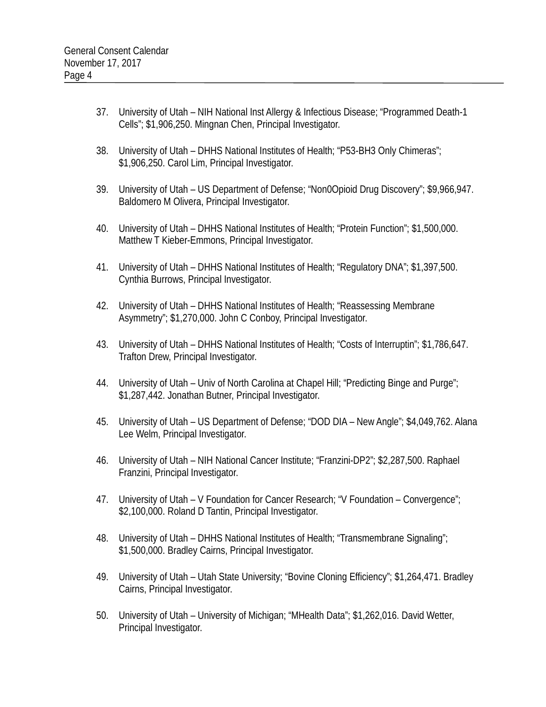- 37. University of Utah NIH National Inst Allergy & Infectious Disease; "Programmed Death-1 Cells"; \$1,906,250. Mingnan Chen, Principal Investigator.
- 38. University of Utah DHHS National Institutes of Health; "P53-BH3 Only Chimeras"; \$1,906,250. Carol Lim, Principal Investigator.
- 39. University of Utah US Department of Defense; "Non0Opioid Drug Discovery"; \$9,966,947. Baldomero M Olivera, Principal Investigator.
- 40. University of Utah DHHS National Institutes of Health; "Protein Function"; \$1,500,000. Matthew T Kieber-Emmons, Principal Investigator.
- 41. University of Utah DHHS National Institutes of Health; "Regulatory DNA"; \$1,397,500. Cynthia Burrows, Principal Investigator.
- 42. University of Utah DHHS National Institutes of Health; "Reassessing Membrane Asymmetry"; \$1,270,000. John C Conboy, Principal Investigator.
- 43. University of Utah DHHS National Institutes of Health; "Costs of Interruptin"; \$1,786,647. Trafton Drew, Principal Investigator.
- 44. University of Utah Univ of North Carolina at Chapel Hill; "Predicting Binge and Purge"; \$1,287,442. Jonathan Butner, Principal Investigator.
- 45. University of Utah US Department of Defense; "DOD DIA New Angle"; \$4,049,762. Alana Lee Welm, Principal Investigator.
- 46. University of Utah NIH National Cancer Institute; "Franzini-DP2"; \$2,287,500. Raphael Franzini, Principal Investigator.
- 47. University of Utah V Foundation for Cancer Research; "V Foundation Convergence"; \$2,100,000. Roland D Tantin, Principal Investigator.
- 48. University of Utah DHHS National Institutes of Health; "Transmembrane Signaling"; \$1,500,000. Bradley Cairns, Principal Investigator.
- 49. University of Utah Utah State University; "Bovine Cloning Efficiency"; \$1,264,471. Bradley Cairns, Principal Investigator.
- 50. University of Utah University of Michigan; "MHealth Data"; \$1,262,016. David Wetter, Principal Investigator.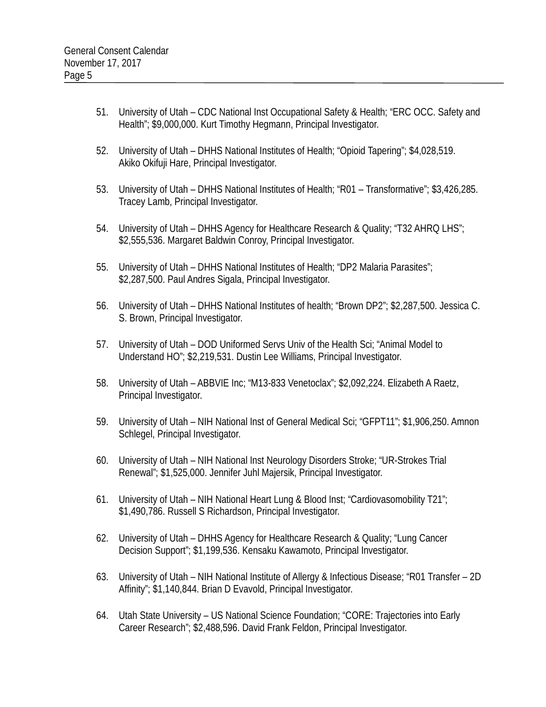- 51. University of Utah CDC National Inst Occupational Safety & Health; "ERC OCC. Safety and Health"; \$9,000,000. Kurt Timothy Hegmann, Principal Investigator.
- 52. University of Utah DHHS National Institutes of Health; "Opioid Tapering"; \$4,028,519. Akiko Okifuji Hare, Principal Investigator.
- 53. University of Utah DHHS National Institutes of Health; "R01 Transformative"; \$3,426,285. Tracey Lamb, Principal Investigator.
- 54. University of Utah DHHS Agency for Healthcare Research & Quality; "T32 AHRQ LHS"; \$2,555,536. Margaret Baldwin Conroy, Principal Investigator.
- 55. University of Utah DHHS National Institutes of Health; "DP2 Malaria Parasites"; \$2,287,500. Paul Andres Sigala, Principal Investigator.
- 56. University of Utah DHHS National Institutes of health; "Brown DP2"; \$2,287,500. Jessica C. S. Brown, Principal Investigator.
- 57. University of Utah DOD Uniformed Servs Univ of the Health Sci; "Animal Model to Understand HO"; \$2,219,531. Dustin Lee Williams, Principal Investigator.
- 58. University of Utah ABBVIE Inc; "M13-833 Venetoclax"; \$2,092,224. Elizabeth A Raetz, Principal Investigator.
- 59. University of Utah NIH National Inst of General Medical Sci; "GFPT11"; \$1,906,250. Amnon Schlegel, Principal Investigator.
- 60. University of Utah NIH National Inst Neurology Disorders Stroke; "UR-Strokes Trial Renewal"; \$1,525,000. Jennifer Juhl Majersik, Principal Investigator.
- 61. University of Utah NIH National Heart Lung & Blood Inst; "Cardiovasomobility T21"; \$1,490,786. Russell S Richardson, Principal Investigator.
- 62. University of Utah DHHS Agency for Healthcare Research & Quality; "Lung Cancer Decision Support"; \$1,199,536. Kensaku Kawamoto, Principal Investigator.
- 63. University of Utah NIH National Institute of Allergy & Infectious Disease; "R01 Transfer 2D Affinity"; \$1,140,844. Brian D Evavold, Principal Investigator.
- 64. Utah State University US National Science Foundation; "CORE: Trajectories into Early Career Research"; \$2,488,596. David Frank Feldon, Principal Investigator.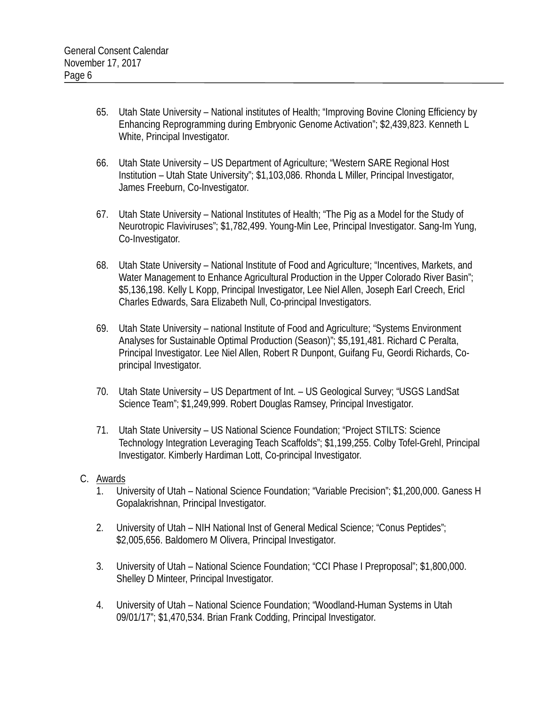- 65. Utah State University National institutes of Health; "Improving Bovine Cloning Efficiency by Enhancing Reprogramming during Embryonic Genome Activation"; \$2,439,823. Kenneth L White, Principal Investigator.
- 66. Utah State University US Department of Agriculture; "Western SARE Regional Host Institution – Utah State University"; \$1,103,086. Rhonda L Miller, Principal Investigator, James Freeburn, Co-Investigator.
- 67. Utah State University National Institutes of Health; "The Pig as a Model for the Study of Neurotropic Flaviviruses"; \$1,782,499. Young-Min Lee, Principal Investigator. Sang-Im Yung, Co-Investigator.
- 68. Utah State University National Institute of Food and Agriculture; "Incentives, Markets, and Water Management to Enhance Agricultural Production in the Upper Colorado River Basin"; \$5,136,198. Kelly L Kopp, Principal Investigator, Lee Niel Allen, Joseph Earl Creech, Ericl Charles Edwards, Sara Elizabeth Null, Co-principal Investigators.
- 69. Utah State University national Institute of Food and Agriculture; "Systems Environment Analyses for Sustainable Optimal Production (Season)"; \$5,191,481. Richard C Peralta, Principal Investigator. Lee Niel Allen, Robert R Dunpont, Guifang Fu, Geordi Richards, Coprincipal Investigator.
- 70. Utah State University US Department of Int. US Geological Survey; "USGS LandSat Science Team"; \$1,249,999. Robert Douglas Ramsey, Principal Investigator.
- 71. Utah State University US National Science Foundation; "Project STILTS: Science Technology Integration Leveraging Teach Scaffolds"; \$1,199,255. Colby Tofel-Grehl, Principal Investigator. Kimberly Hardiman Lott, Co-principal Investigator.

# C. Awards

- 1. University of Utah National Science Foundation; "Variable Precision"; \$1,200,000. Ganess H Gopalakrishnan, Principal Investigator.
- 2. University of Utah NIH National Inst of General Medical Science; "Conus Peptides"; \$2,005,656. Baldomero M Olivera, Principal Investigator.
- 3. University of Utah National Science Foundation; "CCI Phase I Preproposal"; \$1,800,000. Shelley D Minteer, Principal Investigator.
- 4. University of Utah National Science Foundation; "Woodland-Human Systems in Utah 09/01/17"; \$1,470,534. Brian Frank Codding, Principal Investigator.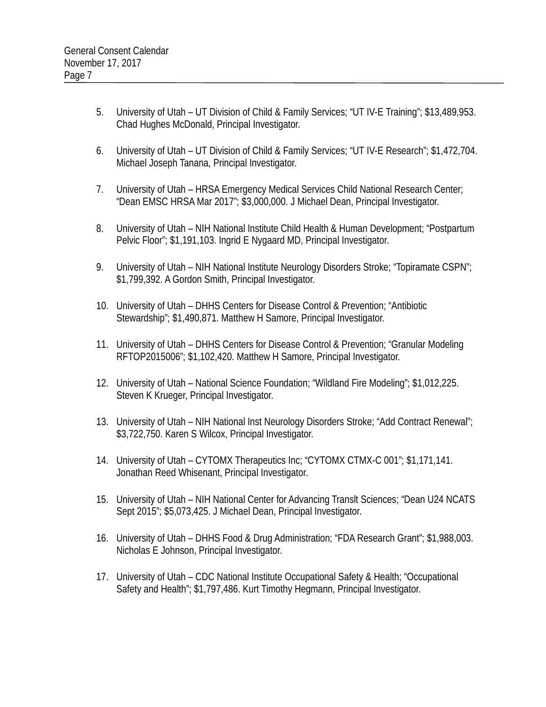- 5. University of Utah UT Division of Child & Family Services; "UT IV-E Training"; \$13,489,953. Chad Hughes McDonald, Principal Investigator.
- 6. University of Utah UT Division of Child & Family Services; "UT IV-E Research"; \$1,472,704. Michael Joseph Tanana, Principal Investigator.
- 7. University of Utah HRSA Emergency Medical Services Child National Research Center; "Dean EMSC HRSA Mar 2017"; \$3,000,000. J Michael Dean, Principal Investigator.
- 8. University of Utah NIH National Institute Child Health & Human Development; "Postpartum Pelvic Floor"; \$1,191,103. Ingrid E Nygaard MD, Principal Investigator.
- 9. University of Utah NIH National Institute Neurology Disorders Stroke; "Topiramate CSPN"; \$1,799,392. A Gordon Smith, Principal Investigator.
- 10. University of Utah DHHS Centers for Disease Control & Prevention; "Antibiotic Stewardship"; \$1,490,871. Matthew H Samore, Principal Investigator.
- 11. University of Utah DHHS Centers for Disease Control & Prevention; "Granular Modeling RFTOP2015006"; \$1,102,420. Matthew H Samore, Principal Investigator.
- 12. University of Utah National Science Foundation; "Wildland Fire Modeling"; \$1,012,225. Steven K Krueger, Principal Investigator.
- 13. University of Utah NIH National Inst Neurology Disorders Stroke; "Add Contract Renewal"; \$3,722,750. Karen S Wilcox, Principal Investigator.
- 14. University of Utah CYTOMX Therapeutics Inc; "CYTOMX CTMX-C 001"; \$1,171,141. Jonathan Reed Whisenant, Principal Investigator.
- 15. University of Utah NIH National Center for Advancing Translt Sciences; "Dean U24 NCATS Sept 2015"; \$5,073,425. J Michael Dean, Principal Investigator.
- 16. University of Utah DHHS Food & Drug Administration; "FDA Research Grant"; \$1,988,003. Nicholas E Johnson, Principal Investigator.
- 17. University of Utah CDC National Institute Occupational Safety & Health; "Occupational Safety and Health"; \$1,797,486. Kurt Timothy Hegmann, Principal Investigator.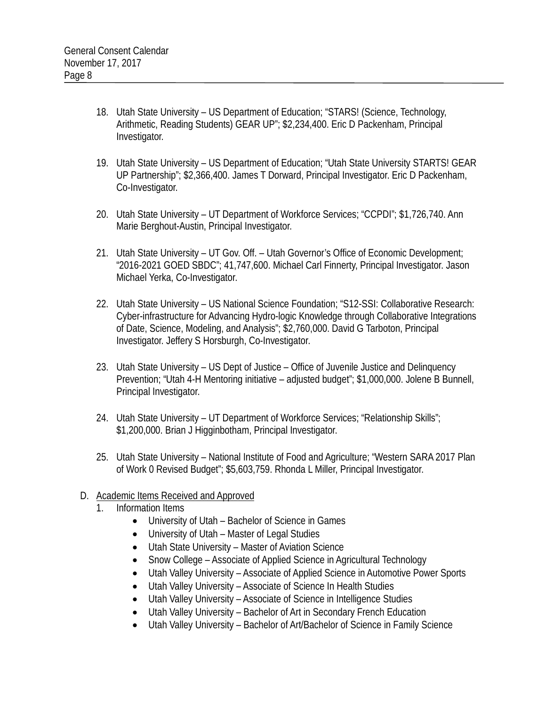- 18. Utah State University US Department of Education; "STARS! (Science, Technology, Arithmetic, Reading Students) GEAR UP"; \$2,234,400. Eric D Packenham, Principal Investigator.
- 19. Utah State University US Department of Education; "Utah State University STARTS! GEAR UP Partnership"; \$2,366,400. James T Dorward, Principal Investigator. Eric D Packenham, Co-Investigator.
- 20. Utah State University UT Department of Workforce Services; "CCPDI"; \$1,726,740. Ann Marie Berghout-Austin, Principal Investigator.
- 21. Utah State University UT Gov. Off. Utah Governor's Office of Economic Development; "2016-2021 GOED SBDC"; 41,747,600. Michael Carl Finnerty, Principal Investigator. Jason Michael Yerka, Co-Investigator.
- 22. Utah State University US National Science Foundation; "S12-SSI: Collaborative Research: Cyber-infrastructure for Advancing Hydro-logic Knowledge through Collaborative Integrations of Date, Science, Modeling, and Analysis"; \$2,760,000. David G Tarboton, Principal Investigator. Jeffery S Horsburgh, Co-Investigator.
- 23. Utah State University US Dept of Justice Office of Juvenile Justice and Delinquency Prevention; "Utah 4-H Mentoring initiative – adjusted budget"; \$1,000,000. Jolene B Bunnell, Principal Investigator.
- 24. Utah State University UT Department of Workforce Services; "Relationship Skills"; \$1,200,000. Brian J Higginbotham, Principal Investigator.
- 25. Utah State University National Institute of Food and Agriculture; "Western SARA 2017 Plan of Work 0 Revised Budget"; \$5,603,759. Rhonda L Miller, Principal Investigator.
- D. Academic Items Received and Approved
	- 1. Information Items
		- University of Utah Bachelor of Science in Games
		- University of Utah Master of Legal Studies
		- Utah State University Master of Aviation Science
		- Snow College Associate of Applied Science in Agricultural Technology
		- Utah Valley University Associate of Applied Science in Automotive Power Sports
		- Utah Valley University Associate of Science In Health Studies
		- Utah Valley University Associate of Science in Intelligence Studies
		- Utah Valley University Bachelor of Art in Secondary French Education
		- Utah Valley University Bachelor of Art/Bachelor of Science in Family Science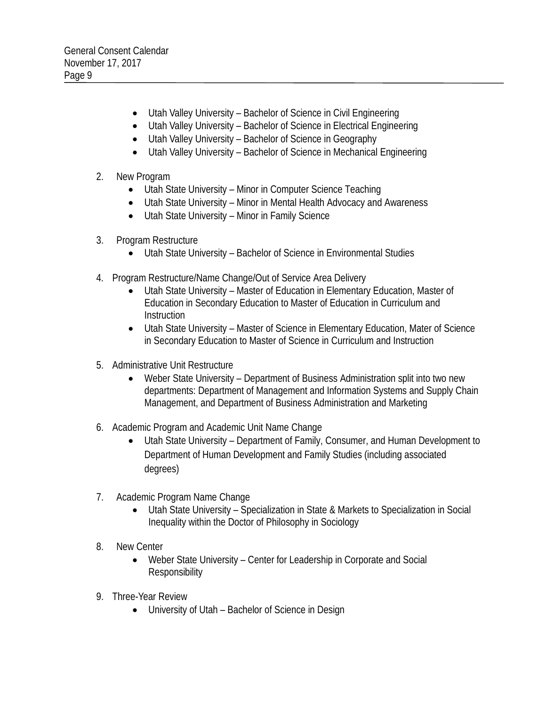- Utah Valley University Bachelor of Science in Civil Engineering
- Utah Valley University Bachelor of Science in Electrical Engineering
- Utah Valley University Bachelor of Science in Geography
- Utah Valley University Bachelor of Science in Mechanical Engineering

# 2. New Program

- Utah State University Minor in Computer Science Teaching
- Utah State University Minor in Mental Health Advocacy and Awareness
- Utah State University Minor in Family Science
- 3. Program Restructure
	- Utah State University Bachelor of Science in Environmental Studies
- 4. Program Restructure/Name Change/Out of Service Area Delivery
	- Utah State University Master of Education in Elementary Education, Master of Education in Secondary Education to Master of Education in Curriculum and **Instruction**
	- Utah State University Master of Science in Elementary Education, Mater of Science in Secondary Education to Master of Science in Curriculum and Instruction
- 5. Administrative Unit Restructure
	- Weber State University Department of Business Administration split into two new departments: Department of Management and Information Systems and Supply Chain Management, and Department of Business Administration and Marketing
- 6. Academic Program and Academic Unit Name Change
	- Utah State University Department of Family, Consumer, and Human Development to Department of Human Development and Family Studies (including associated degrees)
- 7. Academic Program Name Change
	- Utah State University Specialization in State & Markets to Specialization in Social Inequality within the Doctor of Philosophy in Sociology
- 8. New Center
	- Weber State University Center for Leadership in Corporate and Social **Responsibility**
- 9. Three-Year Review
	- University of Utah Bachelor of Science in Design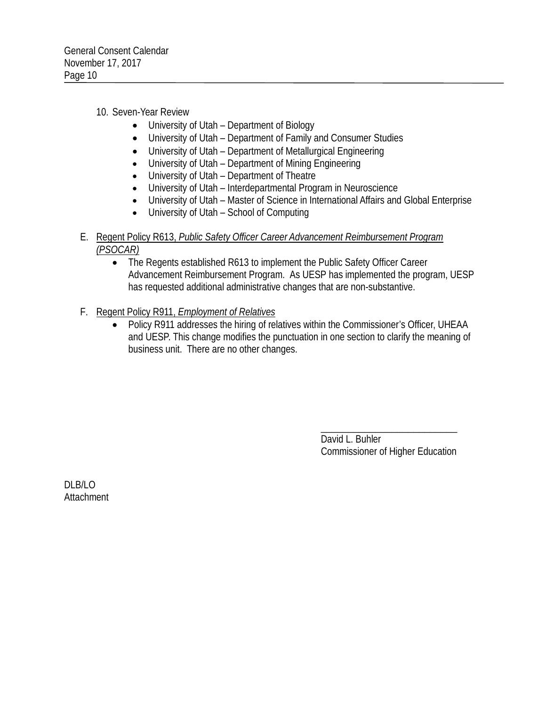## 10. Seven-Year Review

- University of Utah Department of Biology
- University of Utah Department of Family and Consumer Studies
- University of Utah Department of Metallurgical Engineering
- University of Utah Department of Mining Engineering
- University of Utah Department of Theatre
- University of Utah Interdepartmental Program in Neuroscience
- University of Utah Master of Science in International Affairs and Global Enterprise
- University of Utah School of Computing
- E. Regent Policy R613, *Public Safety Officer Career Advancement Reimbursement Program (PSOCAR)*
	- The Regents established R613 to implement the Public Safety Officer Career Advancement Reimbursement Program. As UESP has implemented the program, UESP has requested additional administrative changes that are non-substantive.
- F. Regent Policy R911, *Employment of Relatives*
	- Policy R911 addresses the hiring of relatives within the Commissioner's Officer, UHEAA and UESP. This change modifies the punctuation in one section to clarify the meaning of business unit. There are no other changes.

\_\_\_\_\_\_\_\_\_\_\_\_\_\_\_\_\_\_\_\_\_\_\_\_\_ David L. Buhler Commissioner of Higher Education

DLB/LO **Attachment**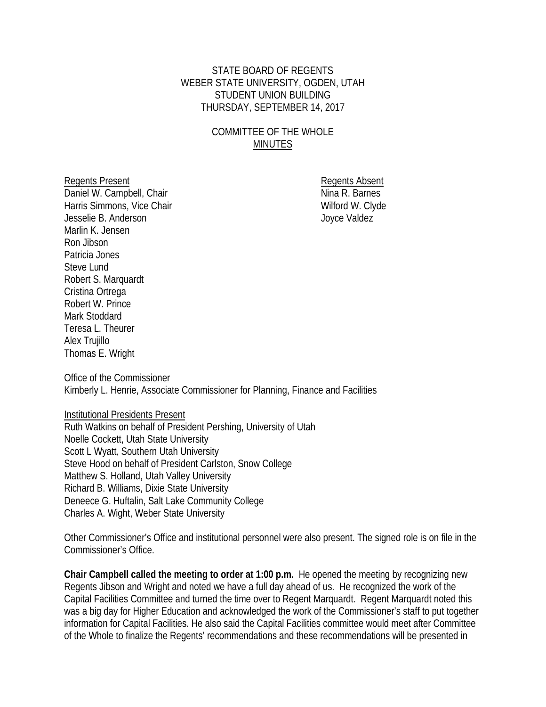## STATE BOARD OF REGENTS WEBER STATE UNIVERSITY, OGDEN, UTAH STUDENT UNION BUILDING THURSDAY, SEPTEMBER 14, 2017

## COMMITTEE OF THE WHOLE **MINUTES**

Daniel W. Campbell, Chair Harris Simmons, Vice Chair Wilford W. Clyde Jesselie B. Anderson Joyce Valdez Marlin K. Jensen Ron Jibson Patricia Jones Steve Lund Robert S. Marquardt Cristina Ortrega Robert W. Prince Mark Stoddard Teresa L. Theurer Alex Trujillo Thomas E. Wright

Regents Present<br>
Daniel W. Campbell, Chair<br>
Daniel W. Campbell, Chair

Office of the Commissioner Kimberly L. Henrie, Associate Commissioner for Planning, Finance and Facilities

Institutional Presidents Present

Ruth Watkins on behalf of President Pershing, University of Utah Noelle Cockett, Utah State University Scott L Wyatt, Southern Utah University Steve Hood on behalf of President Carlston, Snow College Matthew S. Holland, Utah Valley University Richard B. Williams, Dixie State University Deneece G. Huftalin, Salt Lake Community College Charles A. Wight, Weber State University

Other Commissioner's Office and institutional personnel were also present. The signed role is on file in the Commissioner's Office.

**Chair Campbell called the meeting to order at 1:00 p.m.** He opened the meeting by recognizing new Regents Jibson and Wright and noted we have a full day ahead of us. He recognized the work of the Capital Facilities Committee and turned the time over to Regent Marquardt. Regent Marquardt noted this was a big day for Higher Education and acknowledged the work of the Commissioner's staff to put together information for Capital Facilities. He also said the Capital Facilities committee would meet after Committee of the Whole to finalize the Regents' recommendations and these recommendations will be presented in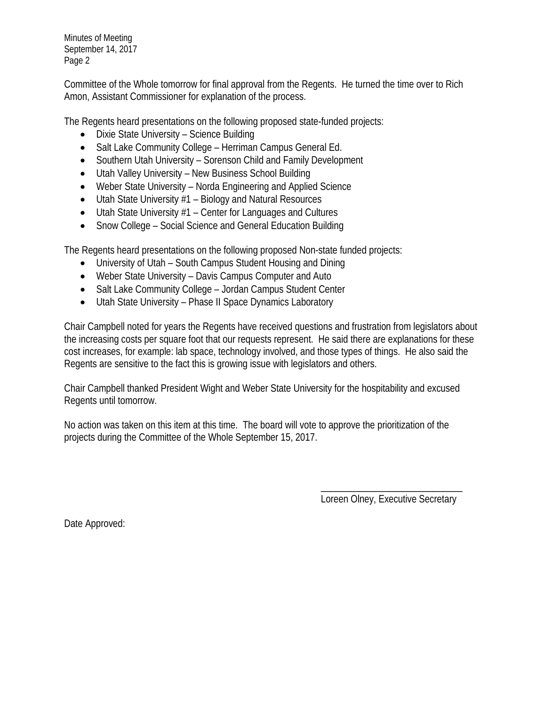Committee of the Whole tomorrow for final approval from the Regents. He turned the time over to Rich Amon, Assistant Commissioner for explanation of the process.

The Regents heard presentations on the following proposed state-funded projects:

- Dixie State University Science Building
- Salt Lake Community College Herriman Campus General Ed.
- Southern Utah University Sorenson Child and Family Development
- Utah Valley University New Business School Building
- Weber State University Norda Engineering and Applied Science
- Utah State University #1 Biology and Natural Resources
- Utah State University #1 Center for Languages and Cultures
- Snow College Social Science and General Education Building

The Regents heard presentations on the following proposed Non-state funded projects:

- University of Utah South Campus Student Housing and Dining
- Weber State University Davis Campus Computer and Auto
- Salt Lake Community College Jordan Campus Student Center
- Utah State University Phase II Space Dynamics Laboratory

Chair Campbell noted for years the Regents have received questions and frustration from legislators about the increasing costs per square foot that our requests represent. He said there are explanations for these cost increases, for example: lab space, technology involved, and those types of things. He also said the Regents are sensitive to the fact this is growing issue with legislators and others.

Chair Campbell thanked President Wight and Weber State University for the hospitability and excused Regents until tomorrow.

No action was taken on this item at this time. The board will vote to approve the prioritization of the projects during the Committee of the Whole September 15, 2017.

> \_\_\_\_\_\_\_\_\_\_\_\_\_\_\_\_\_\_\_\_\_\_\_\_\_\_\_\_\_ Loreen Olney, Executive Secretary

Date Approved: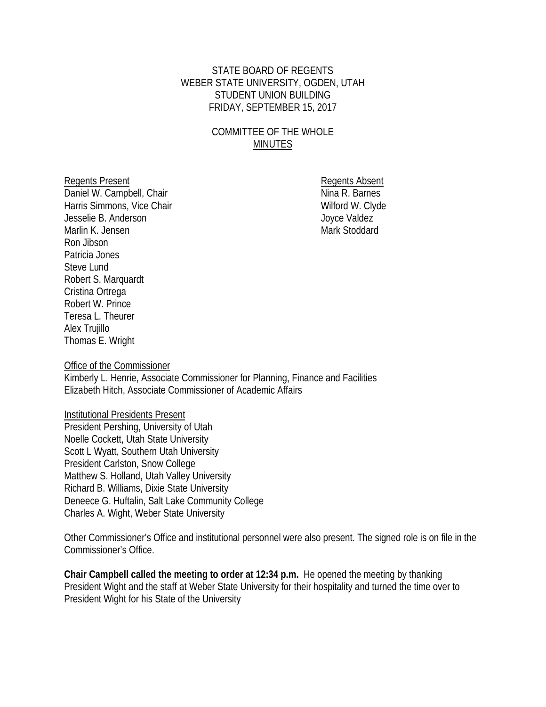#### STATE BOARD OF REGENTS WEBER STATE UNIVERSITY, OGDEN, UTAH STUDENT UNION BUILDING FRIDAY, SEPTEMBER 15, 2017

## COMMITTEE OF THE WHOLE MINUTES

Daniel W. Campbell, Chair Harris Simmons, Vice Chair Wilford W. Clyde Jesselie B. Anderson Joyce Valdez Marlin K. Jensen Mark Stoddard Ron Jibson Patricia Jones Steve Lund Robert S. Marquardt Cristina Ortrega Robert W. Prince Teresa L. Theurer Alex Trujillo Thomas E. Wright

Regents Present<br>
Daniel W. Campbell, Chair<br>
Daniel W. Campbell, Chair

Office of the Commissioner

Kimberly L. Henrie, Associate Commissioner for Planning, Finance and Facilities Elizabeth Hitch, Associate Commissioner of Academic Affairs

Institutional Presidents Present President Pershing, University of Utah Noelle Cockett, Utah State University Scott L Wyatt, Southern Utah University President Carlston, Snow College Matthew S. Holland, Utah Valley University Richard B. Williams, Dixie State University Deneece G. Huftalin, Salt Lake Community College Charles A. Wight, Weber State University

Other Commissioner's Office and institutional personnel were also present. The signed role is on file in the Commissioner's Office.

**Chair Campbell called the meeting to order at 12:34 p.m.** He opened the meeting by thanking President Wight and the staff at Weber State University for their hospitality and turned the time over to President Wight for his State of the University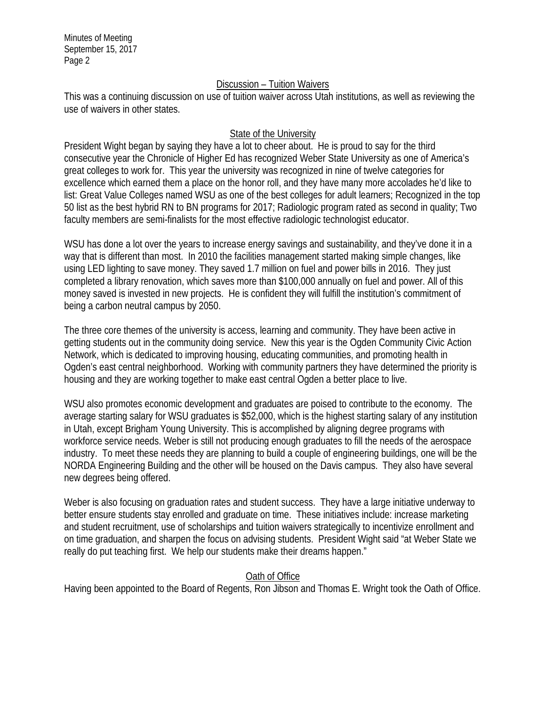#### Discussion – Tuition Waivers

This was a continuing discussion on use of tuition waiver across Utah institutions, as well as reviewing the use of waivers in other states.

#### State of the University

President Wight began by saying they have a lot to cheer about. He is proud to say for the third consecutive year the Chronicle of Higher Ed has recognized Weber State University as one of America's great colleges to work for. This year the university was recognized in nine of twelve categories for excellence which earned them a place on the honor roll, and they have many more accolades he'd like to list: Great Value Colleges named WSU as one of the best colleges for adult learners; Recognized in the top 50 list as the best hybrid RN to BN programs for 2017; Radiologic program rated as second in quality; Two faculty members are semi-finalists for the most effective radiologic technologist educator.

WSU has done a lot over the years to increase energy savings and sustainability, and they've done it in a way that is different than most. In 2010 the facilities management started making simple changes, like using LED lighting to save money. They saved 1.7 million on fuel and power bills in 2016. They just completed a library renovation, which saves more than \$100,000 annually on fuel and power. All of this money saved is invested in new projects. He is confident they will fulfill the institution's commitment of being a carbon neutral campus by 2050.

The three core themes of the university is access, learning and community. They have been active in getting students out in the community doing service. New this year is the Ogden Community Civic Action Network, which is dedicated to improving housing, educating communities, and promoting health in Ogden's east central neighborhood. Working with community partners they have determined the priority is housing and they are working together to make east central Ogden a better place to live.

WSU also promotes economic development and graduates are poised to contribute to the economy. The average starting salary for WSU graduates is \$52,000, which is the highest starting salary of any institution in Utah, except Brigham Young University. This is accomplished by aligning degree programs with workforce service needs. Weber is still not producing enough graduates to fill the needs of the aerospace industry. To meet these needs they are planning to build a couple of engineering buildings, one will be the NORDA Engineering Building and the other will be housed on the Davis campus. They also have several new degrees being offered.

Weber is also focusing on graduation rates and student success. They have a large initiative underway to better ensure students stay enrolled and graduate on time. These initiatives include: increase marketing and student recruitment, use of scholarships and tuition waivers strategically to incentivize enrollment and on time graduation, and sharpen the focus on advising students. President Wight said "at Weber State we really do put teaching first. We help our students make their dreams happen."

## Oath of Office

Having been appointed to the Board of Regents, Ron Jibson and Thomas E. Wright took the Oath of Office.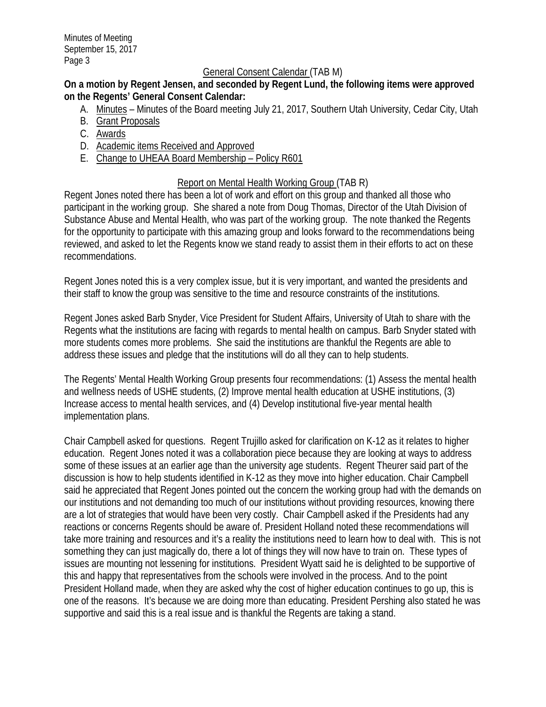#### General Consent Calendar (TAB M)

## **On a motion by Regent Jensen, and seconded by Regent Lund, the following items were approved on the Regents' General Consent Calendar:**

- A. Minutes Minutes of the Board meeting July 21, 2017, Southern Utah University, Cedar City, Utah
- B. Grant Proposals
- C. Awards
- D. Academic items Received and Approved
- E. Change to UHEAA Board Membership Policy R601

#### Report on Mental Health Working Group (TAB R)

Regent Jones noted there has been a lot of work and effort on this group and thanked all those who participant in the working group. She shared a note from Doug Thomas, Director of the Utah Division of Substance Abuse and Mental Health, who was part of the working group. The note thanked the Regents for the opportunity to participate with this amazing group and looks forward to the recommendations being reviewed, and asked to let the Regents know we stand ready to assist them in their efforts to act on these recommendations.

Regent Jones noted this is a very complex issue, but it is very important, and wanted the presidents and their staff to know the group was sensitive to the time and resource constraints of the institutions.

Regent Jones asked Barb Snyder, Vice President for Student Affairs, University of Utah to share with the Regents what the institutions are facing with regards to mental health on campus. Barb Snyder stated with more students comes more problems. She said the institutions are thankful the Regents are able to address these issues and pledge that the institutions will do all they can to help students.

The Regents' Mental Health Working Group presents four recommendations: (1) Assess the mental health and wellness needs of USHE students, (2) Improve mental health education at USHE institutions, (3) Increase access to mental health services, and (4) Develop institutional five-year mental health implementation plans.

Chair Campbell asked for questions. Regent Trujillo asked for clarification on K-12 as it relates to higher education. Regent Jones noted it was a collaboration piece because they are looking at ways to address some of these issues at an earlier age than the university age students. Regent Theurer said part of the discussion is how to help students identified in K-12 as they move into higher education. Chair Campbell said he appreciated that Regent Jones pointed out the concern the working group had with the demands on our institutions and not demanding too much of our institutions without providing resources, knowing there are a lot of strategies that would have been very costly. Chair Campbell asked if the Presidents had any reactions or concerns Regents should be aware of. President Holland noted these recommendations will take more training and resources and it's a reality the institutions need to learn how to deal with. This is not something they can just magically do, there a lot of things they will now have to train on. These types of issues are mounting not lessening for institutions. President Wyatt said he is delighted to be supportive of this and happy that representatives from the schools were involved in the process. And to the point President Holland made, when they are asked why the cost of higher education continues to go up, this is one of the reasons. It's because we are doing more than educating. President Pershing also stated he was supportive and said this is a real issue and is thankful the Regents are taking a stand.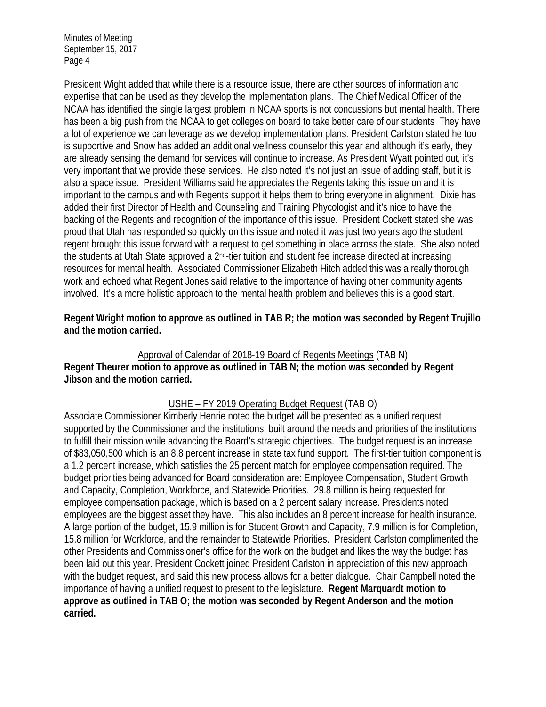President Wight added that while there is a resource issue, there are other sources of information and expertise that can be used as they develop the implementation plans. The Chief Medical Officer of the NCAA has identified the single largest problem in NCAA sports is not concussions but mental health. There has been a big push from the NCAA to get colleges on board to take better care of our students They have a lot of experience we can leverage as we develop implementation plans. President Carlston stated he too is supportive and Snow has added an additional wellness counselor this year and although it's early, they are already sensing the demand for services will continue to increase. As President Wyatt pointed out, it's very important that we provide these services. He also noted it's not just an issue of adding staff, but it is also a space issue. President Williams said he appreciates the Regents taking this issue on and it is important to the campus and with Regents support it helps them to bring everyone in alignment. Dixie has added their first Director of Health and Counseling and Training Phycologist and it's nice to have the backing of the Regents and recognition of the importance of this issue. President Cockett stated she was proud that Utah has responded so quickly on this issue and noted it was just two years ago the student regent brought this issue forward with a request to get something in place across the state. She also noted the students at Utah State approved a 2<sup>nd</sup>-tier tuition and student fee increase directed at increasing resources for mental health. Associated Commissioner Elizabeth Hitch added this was a really thorough work and echoed what Regent Jones said relative to the importance of having other community agents involved. It's a more holistic approach to the mental health problem and believes this is a good start.

**Regent Wright motion to approve as outlined in TAB R; the motion was seconded by Regent Trujillo and the motion carried.** 

#### Approval of Calendar of 2018-19 Board of Regents Meetings (TAB N) **Regent Theurer motion to approve as outlined in TAB N; the motion was seconded by Regent Jibson and the motion carried.**

# USHE – FY 2019 Operating Budget Request (TAB O)

Associate Commissioner Kimberly Henrie noted the budget will be presented as a unified request supported by the Commissioner and the institutions, built around the needs and priorities of the institutions to fulfill their mission while advancing the Board's strategic objectives. The budget request is an increase of \$83,050,500 which is an 8.8 percent increase in state tax fund support. The first-tier tuition component is a 1.2 percent increase, which satisfies the 25 percent match for employee compensation required. The budget priorities being advanced for Board consideration are: Employee Compensation, Student Growth and Capacity, Completion, Workforce, and Statewide Priorities. 29.8 million is being requested for employee compensation package, which is based on a 2 percent salary increase. Presidents noted employees are the biggest asset they have. This also includes an 8 percent increase for health insurance. A large portion of the budget, 15.9 million is for Student Growth and Capacity, 7.9 million is for Completion, 15.8 million for Workforce, and the remainder to Statewide Priorities. President Carlston complimented the other Presidents and Commissioner's office for the work on the budget and likes the way the budget has been laid out this year. President Cockett joined President Carlston in appreciation of this new approach with the budget request, and said this new process allows for a better dialogue. Chair Campbell noted the importance of having a unified request to present to the legislature. **Regent Marquardt motion to approve as outlined in TAB O; the motion was seconded by Regent Anderson and the motion carried.**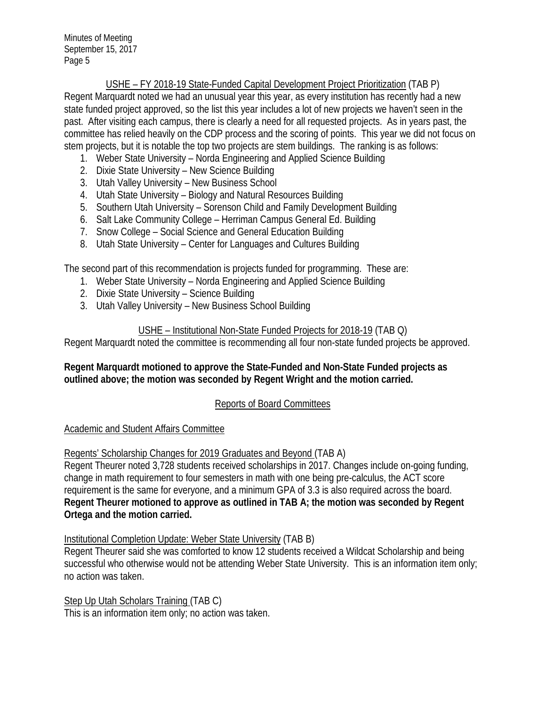# USHE – FY 2018-19 State-Funded Capital Development Project Prioritization (TAB P)

Regent Marquardt noted we had an unusual year this year, as every institution has recently had a new state funded project approved, so the list this year includes a lot of new projects we haven't seen in the past. After visiting each campus, there is clearly a need for all requested projects. As in years past, the committee has relied heavily on the CDP process and the scoring of points. This year we did not focus on stem projects, but it is notable the top two projects are stem buildings. The ranking is as follows:

- 1. Weber State University Norda Engineering and Applied Science Building
- 2. Dixie State University New Science Building
- 3. Utah Valley University New Business School
- 4. Utah State University Biology and Natural Resources Building
- 5. Southern Utah University Sorenson Child and Family Development Building
- 6. Salt Lake Community College Herriman Campus General Ed. Building
- 7. Snow College Social Science and General Education Building
- 8. Utah State University Center for Languages and Cultures Building

The second part of this recommendation is projects funded for programming. These are:

- 1. Weber State University Norda Engineering and Applied Science Building
- 2. Dixie State University Science Building
- 3. Utah Valley University New Business School Building

# USHE – Institutional Non-State Funded Projects for 2018-19 (TAB Q)

Regent Marquardt noted the committee is recommending all four non-state funded projects be approved.

## **Regent Marquardt motioned to approve the State-Funded and Non-State Funded projects as outlined above; the motion was seconded by Regent Wright and the motion carried.**

# Reports of Board Committees

## Academic and Student Affairs Committee

Regents' Scholarship Changes for 2019 Graduates and Beyond (TAB A)

Regent Theurer noted 3,728 students received scholarships in 2017. Changes include on-going funding, change in math requirement to four semesters in math with one being pre-calculus, the ACT score requirement is the same for everyone, and a minimum GPA of 3.3 is also required across the board. **Regent Theurer motioned to approve as outlined in TAB A; the motion was seconded by Regent Ortega and the motion carried.**

# Institutional Completion Update: Weber State University (TAB B)

Regent Theurer said she was comforted to know 12 students received a Wildcat Scholarship and being successful who otherwise would not be attending Weber State University. This is an information item only; no action was taken.

Step Up Utah Scholars Training (TAB C) This is an information item only; no action was taken.